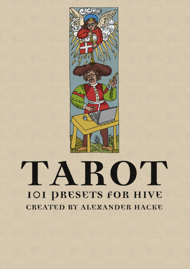

# TARO'I **IOI PRESETS FOR HIVE** CREATED BY ALEXANDER HACKE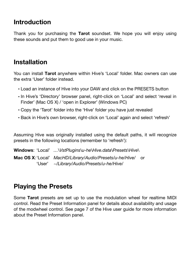# **Introduction**

Thank you for purchasing the **Tarot** soundset. We hope you will enjoy using these sounds and put them to good use in your music.

## **Installation**

You can install **Tarot** anywhere within Hive's 'Local' folder. Mac owners can use the extra 'User' folder instead.

- Load an instance of Hive into your DAW and click on the PRESETS button
- In Hive's 'Directory' browser panel, right-click on 'Local' and select 'reveal in Finder' (Mac OS X) / 'open in Explorer' (Windows PC)
- Copy the 'Tarot' folder into the 'Hive' folder you have just revealed
- Back in Hive's own browser, right-click on 'Local' again and select 'refresh'

Assuming Hive was originally installed using the default paths, it will recognize presets in the following locations (remember to 'refresh'):

**Windows**: 'Local' *…\VstPlugins\u-he\Hive.data\Presets\Hive\* **Mac OS X**:'Local' *MacHD/Library/Audio/Presets/u-he/Hive/* or 'User' *~/Library/Audio/Presets/u-he/Hive/*

# **Playing the Presets**

Some **Tarot** presets are set up to use the modulation wheel for realtime MIDI control. Read the Preset Information panel for details about availability and usage of the modwheel control. See page 7 of the Hive user guide for more information about the Preset Information panel.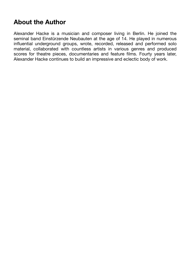# **About the Author**

Alexander Hacke is a musician and composer living in Berlin. He joined the seminal band Einstürzende Neubauten at the age of 14. He played in numerous influential underground groups, wrote, recorded, released and performed solo material, collaborated with countless artists in various genres and produced scores for theatre pieces, documentaries and feature films. Fourty years later, Alexander Hacke continues to build an impressive and eclectic body of work.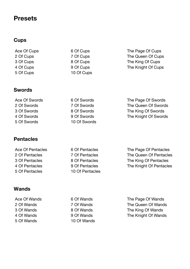### **Presets**

#### **Cups**

Ace Of Cups 2 Of Cups 3 Of Cups 4 Of Cups 5 Of Cups

6 Of Cups 7 Of Cups 8 Of Cups 9 Of Cups 10 Of Cups

6 Of Swords 7 Of Swords 8 Of Swords 9 Of Swords 10 Of Swords

6 Of Pentacles 7 Of Pentacles 8 Of Pentacles 9 Of Pentacles 10 Of Pentacles The Page Of Cups The Queen Of Cups The King Of Cups The Knight Of Cups

#### **Swords**

Ace Of Swords 2 Of Swords 3 Of Swords 4 Of Swords 5 Of Swords

#### **Pentacles**

Ace Of Pentacles 2 Of Pentacles 3 Of Pentacles 4 Of Pentacles 5 Of Pentacles

#### **Wands**

Ace Of Wands 2 Of Wands 3 Of Wands 4 Of Wands 5 Of Wands

6 Of Wands 7 Of Wands 8 Of Wands 9 Of Wands 10 Of Wands The Page Of Swords The Queen Of Swords The King Of Swords The Knight Of Swords

The Page Of Pentacles The Queen Of Pentacles The King Of Pentacles The Knight Of Pentacles

The Page Of Wands The Queen Of Wands The King Of Wands The Knight Of Wands